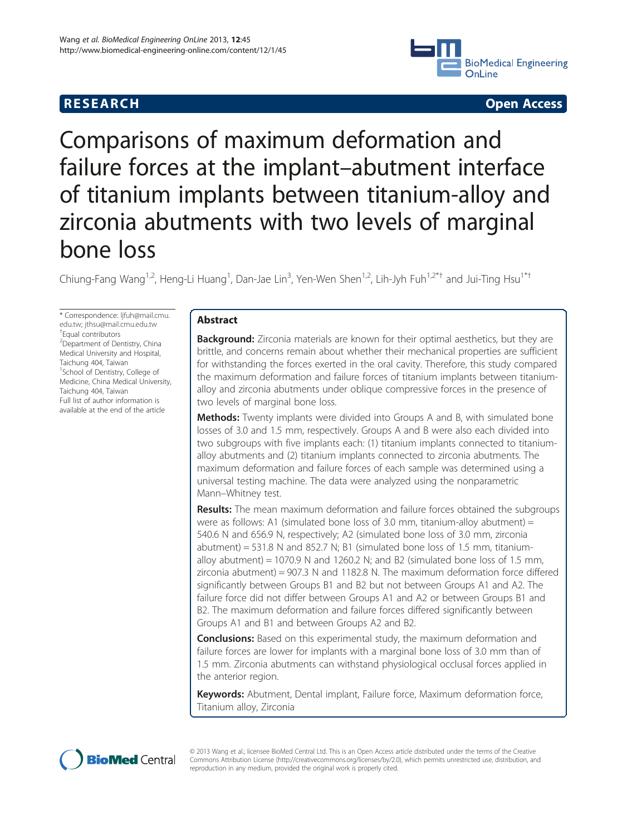## **RESEARCH CHINESE ARCH CHINESE ARCH CHINESE ARCH**



# Comparisons of maximum deformation and failure forces at the implant–abutment interface of titanium implants between titanium-alloy and zirconia abutments with two levels of marginal bone loss

Chiung-Fang Wang<sup>1,2</sup>, Heng-Li Huang<sup>1</sup>, Dan-Jae Lin<sup>3</sup>, Yen-Wen Shen<sup>1,2</sup>, Lih-Jyh Fuh<sup>1,2\*†</sup> and Jui-Ting Hsu<sup>1\*†</sup>

\* Correspondence: [ljfuh@mail.cmu.](mailto:ljfuh@mail.cmu.edu.tw) [edu.tw](mailto:ljfuh@mail.cmu.edu.tw); [jthsu@mail.cmu.edu.tw](mailto:jthsu@mail.cmu.edu.tw) † Equal contributors <sup>2</sup> Department of Dentistry, China Medical University and Hospital, Taichung 404, Taiwan 1 School of Dentistry, College of Medicine, China Medical University, Taichung 404, Taiwan Full list of author information is available at the end of the article

## Abstract

**Background:** Zirconia materials are known for their optimal aesthetics, but they are brittle, and concerns remain about whether their mechanical properties are sufficient for withstanding the forces exerted in the oral cavity. Therefore, this study compared the maximum deformation and failure forces of titanium implants between titaniumalloy and zirconia abutments under oblique compressive forces in the presence of two levels of marginal bone loss.

**Methods:** Twenty implants were divided into Groups A and B, with simulated bone losses of 3.0 and 1.5 mm, respectively. Groups A and B were also each divided into two subgroups with five implants each: (1) titanium implants connected to titaniumalloy abutments and (2) titanium implants connected to zirconia abutments. The maximum deformation and failure forces of each sample was determined using a universal testing machine. The data were analyzed using the nonparametric Mann–Whitney test.

**Results:** The mean maximum deformation and failure forces obtained the subgroups were as follows: A1 (simulated bone loss of 3.0 mm, titanium-alloy abutment) = 540.6 N and 656.9 N, respectively; A2 (simulated bone loss of 3.0 mm, zirconia abutment) = 531.8 N and 852.7 N; B1 (simulated bone loss of 1.5 mm, titaniumalloy abutment) = 1070.9 N and 1260.2 N; and B2 (simulated bone loss of 1.5 mm, zirconia abutment) = 907.3 N and 1182.8 N. The maximum deformation force differed significantly between Groups B1 and B2 but not between Groups A1 and A2. The failure force did not differ between Groups A1 and A2 or between Groups B1 and B2. The maximum deformation and failure forces differed significantly between Groups A1 and B1 and between Groups A2 and B2.

Conclusions: Based on this experimental study, the maximum deformation and failure forces are lower for implants with a marginal bone loss of 3.0 mm than of 1.5 mm. Zirconia abutments can withstand physiological occlusal forces applied in the anterior region.

Keywords: Abutment, Dental implant, Failure force, Maximum deformation force, Titanium alloy, Zirconia



© 2013 Wang et al.; licensee BioMed Central Ltd. This is an Open Access article distributed under the terms of the Creative Commons Attribution License [\(http://creativecommons.org/licenses/by/2.0\)](http://creativecommons.org/licenses/by/2.0), which permits unrestricted use, distribution, and reproduction in any medium, provided the original work is properly cited.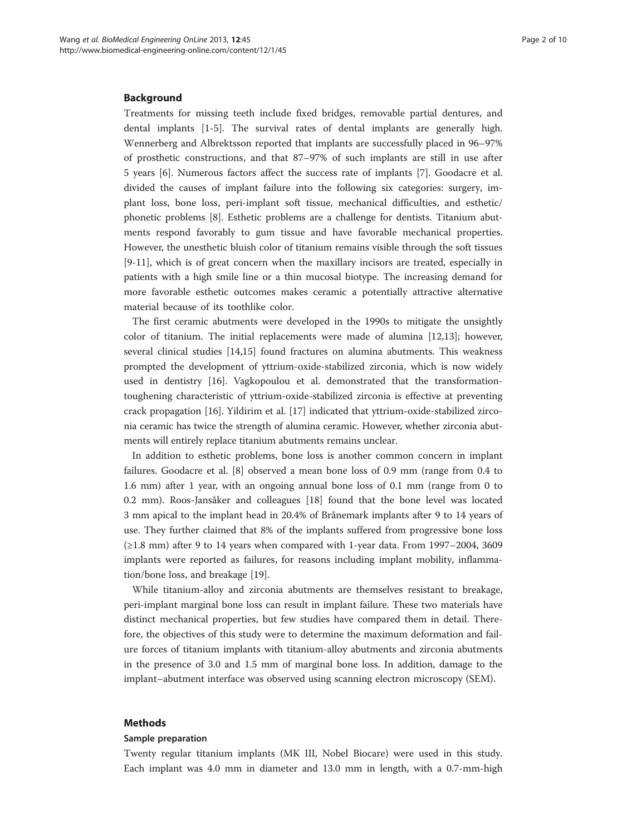## Background

Treatments for missing teeth include fixed bridges, removable partial dentures, and dental implants [[1-5\]](#page-8-0). The survival rates of dental implants are generally high. Wennerberg and Albrektsson reported that implants are successfully placed in 96–97% of prosthetic constructions, and that 87–97% of such implants are still in use after 5 years [\[6](#page-8-0)]. Numerous factors affect the success rate of implants [\[7\]](#page-8-0). Goodacre et al. divided the causes of implant failure into the following six categories: surgery, implant loss, bone loss, peri-implant soft tissue, mechanical difficulties, and esthetic/ phonetic problems [\[8](#page-8-0)]. Esthetic problems are a challenge for dentists. Titanium abutments respond favorably to gum tissue and have favorable mechanical properties. However, the unesthetic bluish color of titanium remains visible through the soft tissues [[9-11](#page-8-0)], which is of great concern when the maxillary incisors are treated, especially in patients with a high smile line or a thin mucosal biotype. The increasing demand for more favorable esthetic outcomes makes ceramic a potentially attractive alternative material because of its toothlike color.

The first ceramic abutments were developed in the 1990s to mitigate the unsightly color of titanium. The initial replacements were made of alumina [[12,13\]](#page-8-0); however, several clinical studies [\[14,15](#page-8-0)] found fractures on alumina abutments. This weakness prompted the development of yttrium-oxide-stabilized zirconia, which is now widely used in dentistry [[16\]](#page-8-0). Vagkopoulou et al. demonstrated that the transformationtoughening characteristic of yttrium-oxide-stabilized zirconia is effective at preventing crack propagation [[16](#page-8-0)]. Yildirim et al. [[17\]](#page-8-0) indicated that yttrium-oxide-stabilized zirconia ceramic has twice the strength of alumina ceramic. However, whether zirconia abutments will entirely replace titanium abutments remains unclear.

In addition to esthetic problems, bone loss is another common concern in implant failures. Goodacre et al. [[8\]](#page-8-0) observed a mean bone loss of 0.9 mm (range from 0.4 to 1.6 mm) after 1 year, with an ongoing annual bone loss of 0.1 mm (range from 0 to 0.2 mm). Roos-Jansåker and colleagues [[18\]](#page-8-0) found that the bone level was located 3 mm apical to the implant head in 20.4% of Brånemark implants after 9 to 14 years of use. They further claimed that 8% of the implants suffered from progressive bone loss (≥1.8 mm) after 9 to 14 years when compared with 1-year data. From 1997–2004, 3609 implants were reported as failures, for reasons including implant mobility, inflammation/bone loss, and breakage [\[19\]](#page-8-0).

While titanium-alloy and zirconia abutments are themselves resistant to breakage, peri-implant marginal bone loss can result in implant failure. These two materials have distinct mechanical properties, but few studies have compared them in detail. Therefore, the objectives of this study were to determine the maximum deformation and failure forces of titanium implants with titanium-alloy abutments and zirconia abutments in the presence of 3.0 and 1.5 mm of marginal bone loss. In addition, damage to the implant–abutment interface was observed using scanning electron microscopy (SEM).

## Methods

## Sample preparation

Twenty regular titanium implants (MK III, Nobel Biocare) were used in this study. Each implant was 4.0 mm in diameter and 13.0 mm in length, with a 0.7-mm-high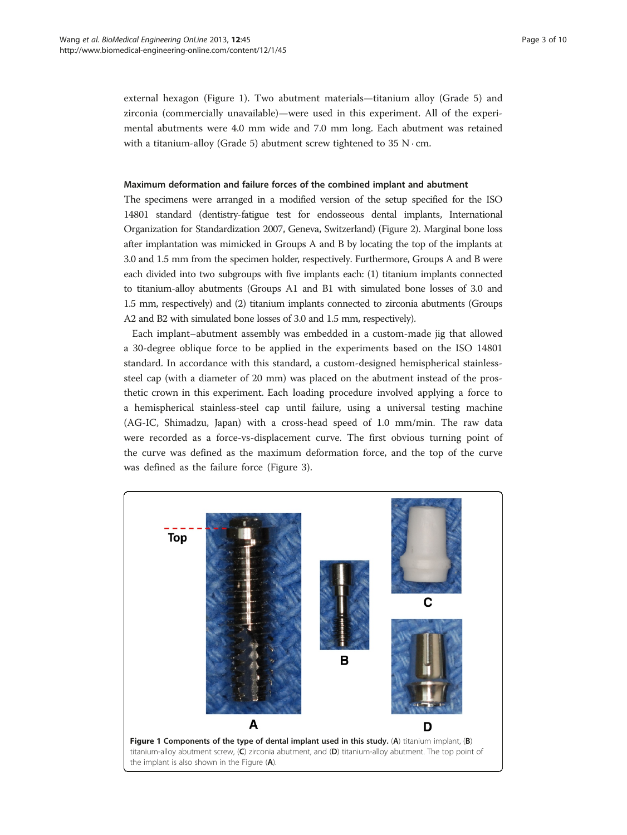external hexagon (Figure 1). Two abutment materials—titanium alloy (Grade 5) and zirconia (commercially unavailable)—were used in this experiment. All of the experimental abutments were 4.0 mm wide and 7.0 mm long. Each abutment was retained with a titanium-alloy (Grade 5) abutment screw tightened to  $35 \text{ N} \cdot \text{cm}$ .

## Maximum deformation and failure forces of the combined implant and abutment

The specimens were arranged in a modified version of the setup specified for the ISO 14801 standard (dentistry-fatigue test for endosseous dental implants, International Organization for Standardization 2007, Geneva, Switzerland) (Figure [2\)](#page-3-0). Marginal bone loss after implantation was mimicked in Groups A and B by locating the top of the implants at 3.0 and 1.5 mm from the specimen holder, respectively. Furthermore, Groups A and B were each divided into two subgroups with five implants each: (1) titanium implants connected to titanium-alloy abutments (Groups A1 and B1 with simulated bone losses of 3.0 and 1.5 mm, respectively) and (2) titanium implants connected to zirconia abutments (Groups A2 and B2 with simulated bone losses of 3.0 and 1.5 mm, respectively).

Each implant–abutment assembly was embedded in a custom-made jig that allowed a 30-degree oblique force to be applied in the experiments based on the ISO 14801 standard. In accordance with this standard, a custom-designed hemispherical stainlesssteel cap (with a diameter of 20 mm) was placed on the abutment instead of the prosthetic crown in this experiment. Each loading procedure involved applying a force to a hemispherical stainless-steel cap until failure, using a universal testing machine (AG-IC, Shimadzu, Japan) with a cross-head speed of 1.0 mm/min. The raw data were recorded as a force-vs-displacement curve. The first obvious turning point of the curve was defined as the maximum deformation force, and the top of the curve was defined as the failure force (Figure [3\)](#page-3-0).

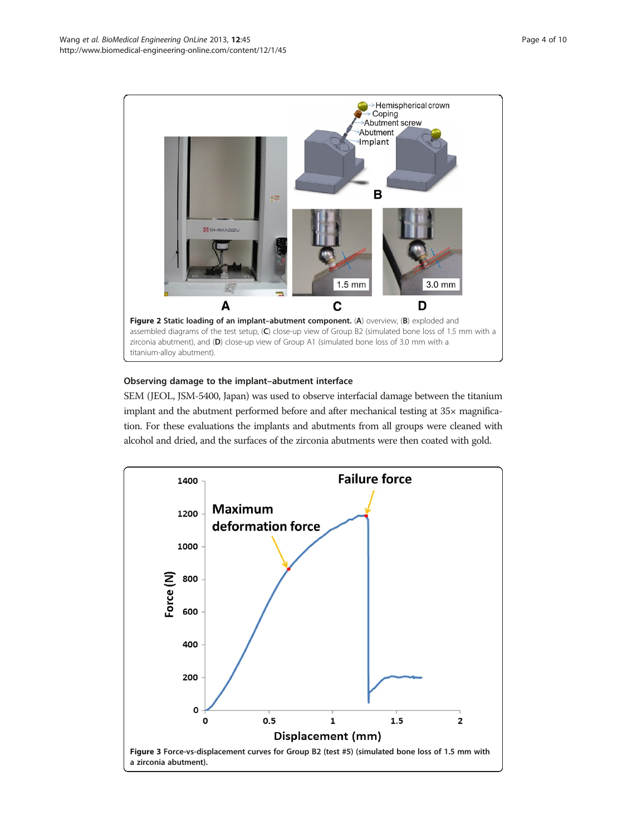<span id="page-3-0"></span>

## Observing damage to the implant–abutment interface

SEM (JEOL, JSM-5400, Japan) was used to observe interfacial damage between the titanium implant and the abutment performed before and after mechanical testing at 35× magnification. For these evaluations the implants and abutments from all groups were cleaned with alcohol and dried, and the surfaces of the zirconia abutments were then coated with gold.

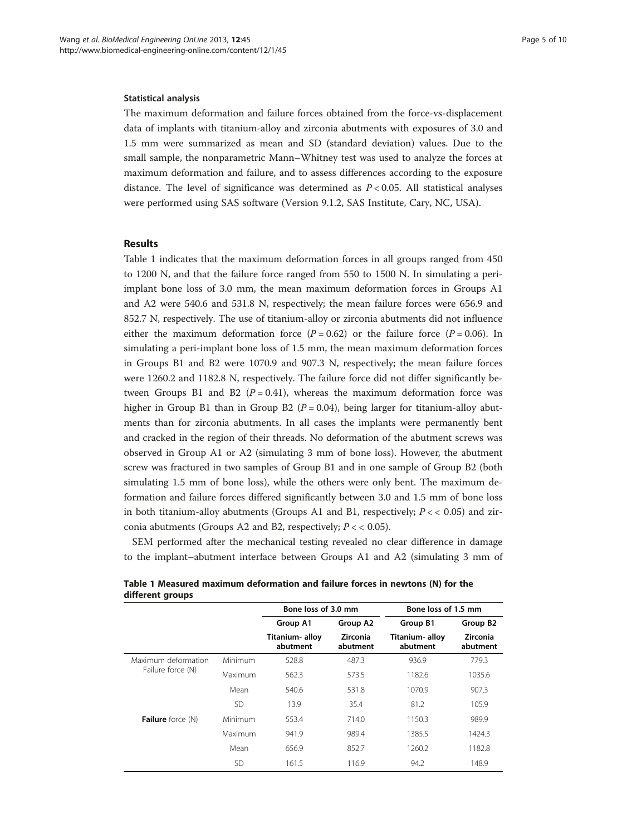### Statistical analysis

The maximum deformation and failure forces obtained from the force-vs-displacement data of implants with titanium-alloy and zirconia abutments with exposures of 3.0 and 1.5 mm were summarized as mean and SD (standard deviation) values. Due to the small sample, the nonparametric Mann–Whitney test was used to analyze the forces at maximum deformation and failure, and to assess differences according to the exposure distance. The level of significance was determined as  $P < 0.05$ . All statistical analyses were performed using SAS software (Version 9.1.2, SAS Institute, Cary, NC, USA).

## Results

Table 1 indicates that the maximum deformation forces in all groups ranged from 450 to 1200 N, and that the failure force ranged from 550 to 1500 N. In simulating a periimplant bone loss of 3.0 mm, the mean maximum deformation forces in Groups A1 and A2 were 540.6 and 531.8 N, respectively; the mean failure forces were 656.9 and 852.7 N, respectively. The use of titanium-alloy or zirconia abutments did not influence either the maximum deformation force ( $P = 0.62$ ) or the failure force ( $P = 0.06$ ). In simulating a peri-implant bone loss of 1.5 mm, the mean maximum deformation forces in Groups B1 and B2 were 1070.9 and 907.3 N, respectively; the mean failure forces were 1260.2 and 1182.8 N, respectively. The failure force did not differ significantly between Groups B1 and B2 ( $P = 0.41$ ), whereas the maximum deformation force was higher in Group B1 than in Group B2 ( $P = 0.04$ ), being larger for titanium-alloy abutments than for zirconia abutments. In all cases the implants were permanently bent and cracked in the region of their threads. No deformation of the abutment screws was observed in Group A1 or A2 (simulating 3 mm of bone loss). However, the abutment screw was fractured in two samples of Group B1 and in one sample of Group B2 (both simulating 1.5 mm of bone loss), while the others were only bent. The maximum deformation and failure forces differed significantly between 3.0 and 1.5 mm of bone loss in both titanium-alloy abutments (Groups A1 and B1, respectively;  $P \lt 0.05$ ) and zirconia abutments (Groups A2 and B2, respectively;  $P < 0.05$ ).

SEM performed after the mechanical testing revealed no clear difference in damage to the implant–abutment interface between Groups A1 and A2 (simulating 3 mm of

|                                          |           | Bone loss of 3.0 mm         |                             | Bone loss of 1.5 mm         |                             |
|------------------------------------------|-----------|-----------------------------|-----------------------------|-----------------------------|-----------------------------|
|                                          |           | Group A1                    | Group A2                    | Group B1                    | Group B2                    |
|                                          |           | Titanium- alloy<br>abutment | <b>Zirconia</b><br>abutment | Titanium- alloy<br>abutment | <b>Zirconia</b><br>abutment |
| Maximum deformation<br>Failure force (N) | Minimum   | 528.8                       | 487.3                       | 936.9                       | 779.3                       |
|                                          | Maximum   | 562.3                       | 573.5                       | 1182.6                      | 1035.6                      |
|                                          | Mean      | 540.6                       | 531.8                       | 1070.9                      | 907.3                       |
|                                          | <b>SD</b> | 13.9                        | 35.4                        | 81.2                        | 105.9                       |
| Failure force (N)                        | Minimum   | 553.4                       | 714.0                       | 1150.3                      | 989.9                       |
|                                          | Maximum   | 941.9                       | 989.4                       | 1385.5                      | 1424.3                      |
|                                          | Mean      | 656.9                       | 852.7                       | 1260.2                      | 1182.8                      |
|                                          | <b>SD</b> | 161.5                       | 116.9                       | 94.2                        | 148.9                       |

Table 1 Measured maximum deformation and failure forces in newtons (N) for the different groups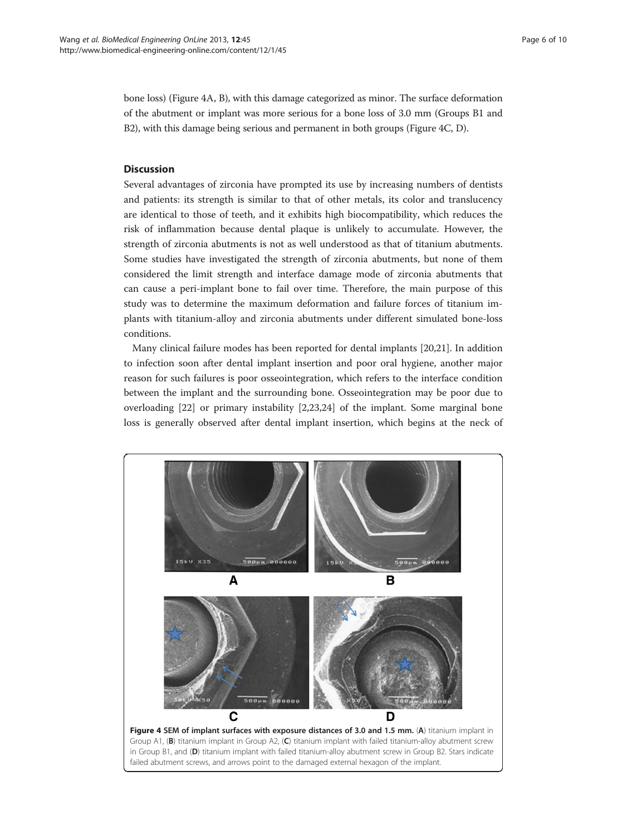bone loss) (Figure 4A, B), with this damage categorized as minor. The surface deformation of the abutment or implant was more serious for a bone loss of 3.0 mm (Groups B1 and B2), with this damage being serious and permanent in both groups (Figure 4C, D).

## **Discussion**

Several advantages of zirconia have prompted its use by increasing numbers of dentists and patients: its strength is similar to that of other metals, its color and translucency are identical to those of teeth, and it exhibits high biocompatibility, which reduces the risk of inflammation because dental plaque is unlikely to accumulate. However, the strength of zirconia abutments is not as well understood as that of titanium abutments. Some studies have investigated the strength of zirconia abutments, but none of them considered the limit strength and interface damage mode of zirconia abutments that can cause a peri-implant bone to fail over time. Therefore, the main purpose of this study was to determine the maximum deformation and failure forces of titanium implants with titanium-alloy and zirconia abutments under different simulated bone-loss conditions.

Many clinical failure modes has been reported for dental implants [\[20,21](#page-8-0)]. In addition to infection soon after dental implant insertion and poor oral hygiene, another major reason for such failures is poor osseointegration, which refers to the interface condition between the implant and the surrounding bone. Osseointegration may be poor due to overloading [[22\]](#page-8-0) or primary instability [[2,](#page-8-0)[23,24\]](#page-9-0) of the implant. Some marginal bone loss is generally observed after dental implant insertion, which begins at the neck of

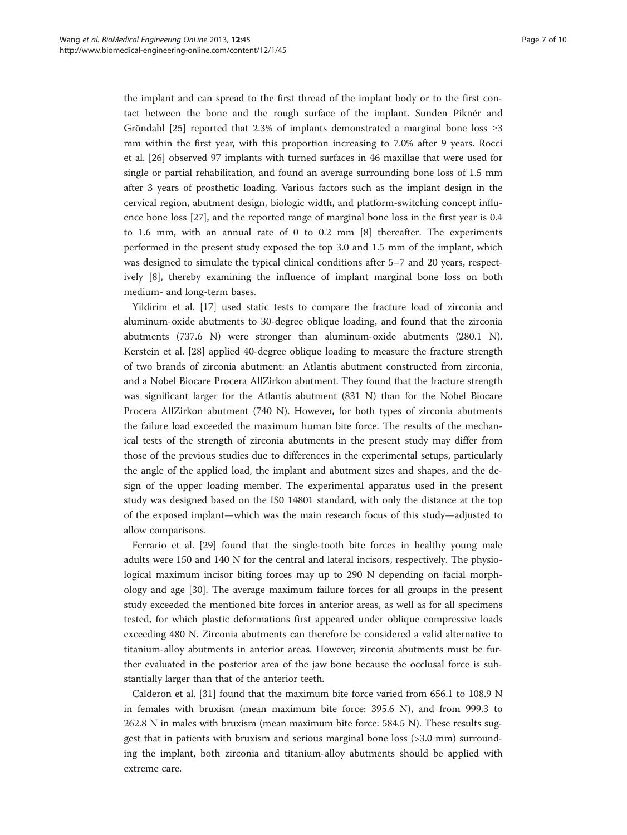the implant and can spread to the first thread of the implant body or to the first contact between the bone and the rough surface of the implant. Sunden Piknér and Gröndahl [[25\]](#page-9-0) reported that 2.3% of implants demonstrated a marginal bone loss  $\geq 3$ mm within the first year, with this proportion increasing to 7.0% after 9 years. Rocci et al. [\[26\]](#page-9-0) observed 97 implants with turned surfaces in 46 maxillae that were used for single or partial rehabilitation, and found an average surrounding bone loss of 1.5 mm after 3 years of prosthetic loading. Various factors such as the implant design in the cervical region, abutment design, biologic width, and platform-switching concept influence bone loss [[27\]](#page-9-0), and the reported range of marginal bone loss in the first year is 0.4 to 1.6 mm, with an annual rate of 0 to 0.2 mm [\[8](#page-8-0)] thereafter. The experiments performed in the present study exposed the top 3.0 and 1.5 mm of the implant, which was designed to simulate the typical clinical conditions after 5–7 and 20 years, respectively [[8\]](#page-8-0), thereby examining the influence of implant marginal bone loss on both medium- and long-term bases.

Yildirim et al. [\[17\]](#page-8-0) used static tests to compare the fracture load of zirconia and aluminum-oxide abutments to 30-degree oblique loading, and found that the zirconia abutments (737.6 N) were stronger than aluminum-oxide abutments (280.1 N). Kerstein et al. [[28\]](#page-9-0) applied 40-degree oblique loading to measure the fracture strength of two brands of zirconia abutment: an Atlantis abutment constructed from zirconia, and a Nobel Biocare Procera AllZirkon abutment. They found that the fracture strength was significant larger for the Atlantis abutment (831 N) than for the Nobel Biocare Procera AllZirkon abutment (740 N). However, for both types of zirconia abutments the failure load exceeded the maximum human bite force. The results of the mechanical tests of the strength of zirconia abutments in the present study may differ from those of the previous studies due to differences in the experimental setups, particularly the angle of the applied load, the implant and abutment sizes and shapes, and the design of the upper loading member. The experimental apparatus used in the present study was designed based on the IS0 14801 standard, with only the distance at the top of the exposed implant—which was the main research focus of this study—adjusted to allow comparisons.

Ferrario et al. [[29\]](#page-9-0) found that the single-tooth bite forces in healthy young male adults were 150 and 140 N for the central and lateral incisors, respectively. The physiological maximum incisor biting forces may up to 290 N depending on facial morphology and age [[30](#page-9-0)]. The average maximum failure forces for all groups in the present study exceeded the mentioned bite forces in anterior areas, as well as for all specimens tested, for which plastic deformations first appeared under oblique compressive loads exceeding 480 N. Zirconia abutments can therefore be considered a valid alternative to titanium-alloy abutments in anterior areas. However, zirconia abutments must be further evaluated in the posterior area of the jaw bone because the occlusal force is substantially larger than that of the anterior teeth.

Calderon et al. [\[31](#page-9-0)] found that the maximum bite force varied from 656.1 to 108.9 N in females with bruxism (mean maximum bite force: 395.6 N), and from 999.3 to 262.8 N in males with bruxism (mean maximum bite force: 584.5 N). These results suggest that in patients with bruxism and serious marginal bone loss (>3.0 mm) surrounding the implant, both zirconia and titanium-alloy abutments should be applied with extreme care.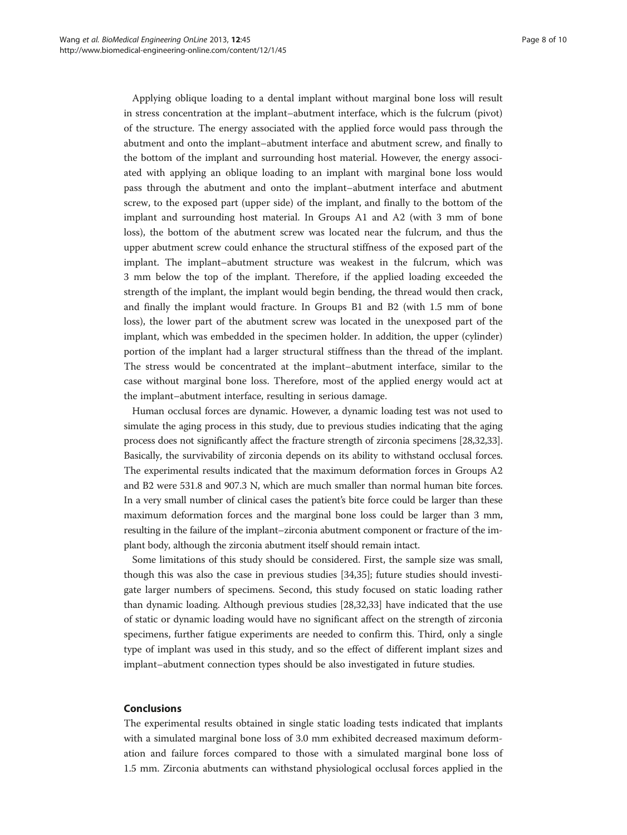Applying oblique loading to a dental implant without marginal bone loss will result in stress concentration at the implant–abutment interface, which is the fulcrum (pivot) of the structure. The energy associated with the applied force would pass through the abutment and onto the implant–abutment interface and abutment screw, and finally to the bottom of the implant and surrounding host material. However, the energy associated with applying an oblique loading to an implant with marginal bone loss would pass through the abutment and onto the implant–abutment interface and abutment screw, to the exposed part (upper side) of the implant, and finally to the bottom of the implant and surrounding host material. In Groups A1 and A2 (with 3 mm of bone loss), the bottom of the abutment screw was located near the fulcrum, and thus the upper abutment screw could enhance the structural stiffness of the exposed part of the implant. The implant–abutment structure was weakest in the fulcrum, which was 3 mm below the top of the implant. Therefore, if the applied loading exceeded the strength of the implant, the implant would begin bending, the thread would then crack, and finally the implant would fracture. In Groups B1 and B2 (with 1.5 mm of bone loss), the lower part of the abutment screw was located in the unexposed part of the implant, which was embedded in the specimen holder. In addition, the upper (cylinder) portion of the implant had a larger structural stiffness than the thread of the implant. The stress would be concentrated at the implant–abutment interface, similar to the case without marginal bone loss. Therefore, most of the applied energy would act at the implant–abutment interface, resulting in serious damage.

Human occlusal forces are dynamic. However, a dynamic loading test was not used to simulate the aging process in this study, due to previous studies indicating that the aging process does not significantly affect the fracture strength of zirconia specimens [\[28,32,33](#page-9-0)]. Basically, the survivability of zirconia depends on its ability to withstand occlusal forces. The experimental results indicated that the maximum deformation forces in Groups A2 and B2 were 531.8 and 907.3 N, which are much smaller than normal human bite forces. In a very small number of clinical cases the patient's bite force could be larger than these maximum deformation forces and the marginal bone loss could be larger than 3 mm, resulting in the failure of the implant–zirconia abutment component or fracture of the implant body, although the zirconia abutment itself should remain intact.

Some limitations of this study should be considered. First, the sample size was small, though this was also the case in previous studies [[34,35\]](#page-9-0); future studies should investigate larger numbers of specimens. Second, this study focused on static loading rather than dynamic loading. Although previous studies [\[28,32,33](#page-9-0)] have indicated that the use of static or dynamic loading would have no significant affect on the strength of zirconia specimens, further fatigue experiments are needed to confirm this. Third, only a single type of implant was used in this study, and so the effect of different implant sizes and implant–abutment connection types should be also investigated in future studies.

## **Conclusions**

The experimental results obtained in single static loading tests indicated that implants with a simulated marginal bone loss of 3.0 mm exhibited decreased maximum deformation and failure forces compared to those with a simulated marginal bone loss of 1.5 mm. Zirconia abutments can withstand physiological occlusal forces applied in the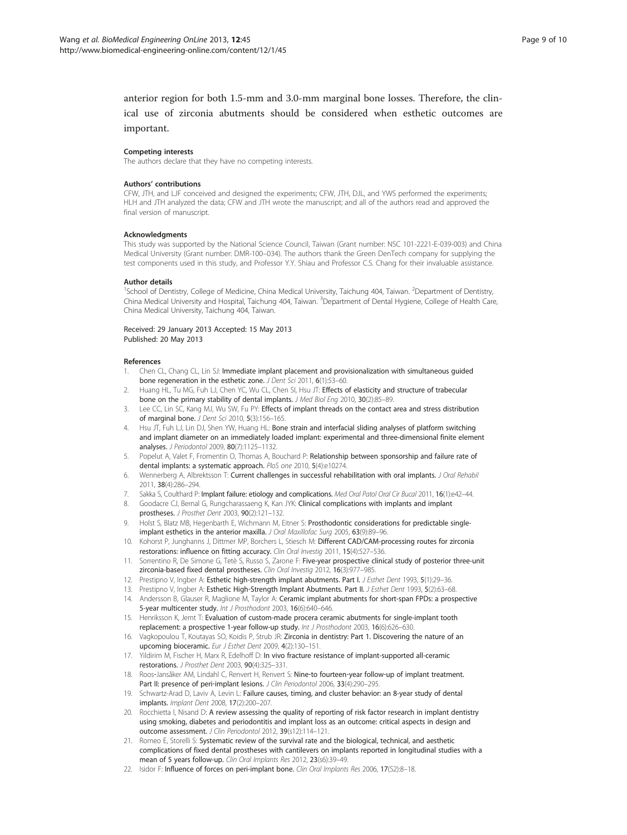<span id="page-8-0"></span>anterior region for both 1.5-mm and 3.0-mm marginal bone losses. Therefore, the clinical use of zirconia abutments should be considered when esthetic outcomes are important.

#### Competing interests

The authors declare that they have no competing interests.

#### Authors' contributions

CFW, JTH, and LJF conceived and designed the experiments; CFW, JTH, DJL, and YWS performed the experiments; HLH and JTH analyzed the data; CFW and JTH wrote the manuscript; and all of the authors read and approved the final version of manuscript.

#### **Acknowledgments**

This study was supported by the National Science Council, Taiwan (Grant number: NSC 101-2221-E-039-003) and China Medical University (Grant number: DMR-100–034). The authors thank the Green DenTech company for supplying the test components used in this study, and Professor Y.Y. Shiau and Professor C.S. Chang for their invaluable assistance.

#### Author details

<sup>1</sup>School of Dentistry, College of Medicine, China Medical University, Taichung 404, Taiwan. <sup>2</sup>Department of Dentistry, China Medical University and Hospital, Taichung 404, Taiwan. <sup>3</sup>Department of Dental Hygiene, College of Health Care, China Medical University, Taichung 404, Taiwan.

#### Received: 29 January 2013 Accepted: 15 May 2013 Published: 20 May 2013

#### References

- Chen CL, Chang CL, Lin SJ: Immediate implant placement and provisionalization with simultaneous guided bone regeneration in the esthetic zone. J Dent Sci 2011, 6(1):53-60.
- 2. Huang HL, Tu MG, Fuh LJ, Chen YC, Wu CL, Chen SI, Hsu JT: Effects of elasticity and structure of trabecular bone on the primary stability of dental implants. J Med Biol Eng 2010, 30(2):85–89.
- Lee CC, Lin SC, Kang MJ, Wu SW, Fu PY: Effects of implant threads on the contact area and stress distribution of marginal bone. J Dent Sci 2010, 5(3):156–165.
- Hsu JT, Fuh LJ, Lin DJ, Shen YW, Huang HL: Bone strain and interfacial sliding analyses of platform switching and implant diameter on an immediately loaded implant: experimental and three-dimensional finite element analyses. J Periodontol 2009, 80(7):1125–1132.
- Popelut A, Valet F, Fromentin O, Thomas A, Bouchard P: Relationship between sponsorship and failure rate of dental implants: a systematic approach. PloS one 2010, 5(4):e10274.
- 6. Wennerberg A, Albrektsson T: Current challenges in successful rehabilitation with oral implants. J Oral Rehabil 2011, 38(4):286–294.
- Sakka S, Coulthard P: Implant failure: etiology and complications. Med Oral Patol Oral Cir Bucal 2011, 16(1):e42-44.
- 8. Goodacre CJ, Bernal G, Rungcharassaeng K, Kan JYK: Clinical complications with implants and implant prostheses. J Prosthet Dent 2003, 90(2):121–132.
- 9. Holst S, Blatz MB, Hegenbarth E, Wichmann M, Eitner S: Prosthodontic considerations for predictable singleimplant esthetics in the anterior maxilla. J Oral Maxillofac Surg 2005, 63(9):89–96.
- 10. Kohorst P, Junghanns J, Dittmer MP, Borchers L, Stiesch M: Different CAD/CAM-processing routes for zirconia restorations: influence on fitting accuracy. Clin Oral Investig 2011, 15(4):527–536.
- 11. Sorrentino R, De Simone G, Tetè S, Russo S, Zarone F: Five-year prospective clinical study of posterior three-unit zirconia-based fixed dental prostheses. Clin Oral Investig 2012, 16(3):977-985.
- 12. Prestipno V, Ingber A: Esthetic high-strength implant abutments. Part I. J Esthet Dent 1993, 5(1):29–36.
- 13. Prestipno V, Ingber A: Esthetic High-Strength Implant Abutments. Part II. J Esthet Dent 1993, 5(2):63-68.
- 14. Andersson B, Glauser R, Maglione M, Taylor A: Ceramic implant abutments for short-span FPDs: a prospective 5-year multicenter study. Int J Prosthodont 2003, 16(6):640–646.
- 15. Henriksson K, Jemt T: Evaluation of custom-made procera ceramic abutments for single-implant tooth replacement: a prospective 1-year follow-up study. Int J Prosthodont 2003, 16(6):626–630.
- 16. Vagkopoulou T, Koutayas SO, Koidis P, Strub JR: Zirconia in dentistry: Part 1. Discovering the nature of an upcoming bioceramic. Eur J Esthet Dent 2009, 4(2):130–151.
- 17. Yildirim M, Fischer H, Marx R, Edelhoff D: In vivo fracture resistance of implant-supported all-ceramic restorations. J Prosthet Dent 2003, 90(4):325–331.
- 18. Roos-Jansåker AM, Lindahl C, Renvert H, Renvert S: Nine-to fourteen-year follow-up of implant treatment. Part II: presence of peri-implant lesions. J Clin Periodontol 2006, 33(4):290-295.
- 19. Schwartz-Arad D, Laviv A, Levin L: Failure causes, timing, and cluster behavior: an 8-year study of dental implants. Implant Dent 2008, 17(2):200–207.
- 20. Rocchietta I, Nisand D: A review assessing the quality of reporting of risk factor research in implant dentistry using smoking, diabetes and periodontitis and implant loss as an outcome: critical aspects in design and outcome assessment. J Clin Periodontol 2012, 39(s12):114–121.
- 21. Romeo E, Storelli S: Systematic review of the survival rate and the biological, technical, and aesthetic complications of fixed dental prostheses with cantilevers on implants reported in longitudinal studies with a mean of 5 years follow-up. Clin Oral Implants Res 2012, 23(s6):39-49.
- 22. Isidor F: Influence of forces on peri-implant bone. Clin Oral Implants Res 2006, 17(S2):8-18.